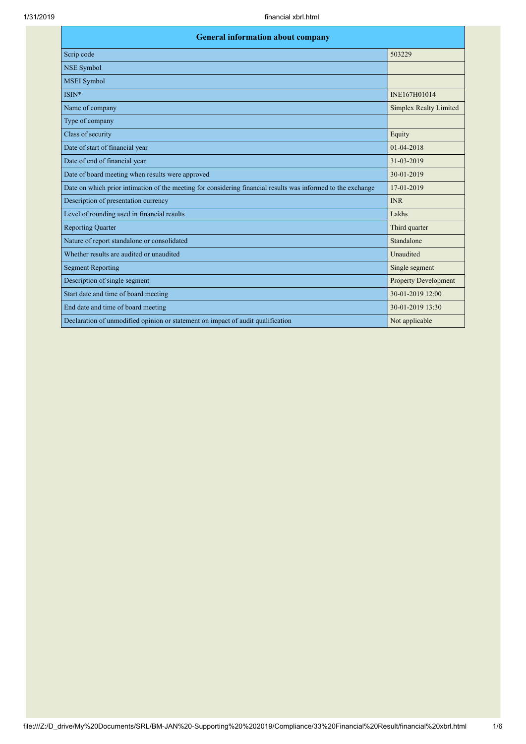| <b>General information about company</b>                                                                     |                               |  |
|--------------------------------------------------------------------------------------------------------------|-------------------------------|--|
| Scrip code                                                                                                   | 503229                        |  |
| <b>NSE Symbol</b>                                                                                            |                               |  |
| <b>MSEI</b> Symbol                                                                                           |                               |  |
| ISIN*                                                                                                        | INE167H01014                  |  |
| Name of company                                                                                              | <b>Simplex Realty Limited</b> |  |
| Type of company                                                                                              |                               |  |
| Class of security                                                                                            | Equity                        |  |
| Date of start of financial year                                                                              | $01 - 04 - 2018$              |  |
| Date of end of financial year                                                                                | 31-03-2019                    |  |
| Date of board meeting when results were approved                                                             | 30-01-2019                    |  |
| Date on which prior intimation of the meeting for considering financial results was informed to the exchange | 17-01-2019                    |  |
| Description of presentation currency                                                                         | <b>INR</b>                    |  |
| Level of rounding used in financial results                                                                  | Lakhs                         |  |
| <b>Reporting Quarter</b>                                                                                     | Third quarter                 |  |
| Nature of report standalone or consolidated                                                                  | Standalone                    |  |
| Whether results are audited or unaudited                                                                     | Unaudited                     |  |
| <b>Segment Reporting</b>                                                                                     | Single segment                |  |
| Description of single segment                                                                                | <b>Property Development</b>   |  |
| Start date and time of board meeting                                                                         | 30-01-2019 12:00              |  |
| End date and time of board meeting                                                                           | 30-01-2019 13:30              |  |
| Declaration of unmodified opinion or statement on impact of audit qualification                              | Not applicable                |  |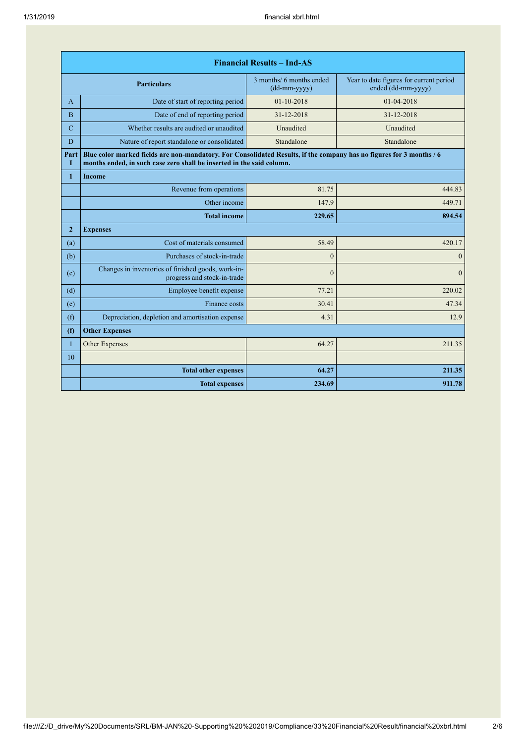| <b>Financial Results - Ind-AS</b> |                                                                                                                                                                                               |                                            |                                                               |
|-----------------------------------|-----------------------------------------------------------------------------------------------------------------------------------------------------------------------------------------------|--------------------------------------------|---------------------------------------------------------------|
|                                   | <b>Particulars</b>                                                                                                                                                                            | 3 months/ 6 months ended<br>$(dd-mm-yyyy)$ | Year to date figures for current period<br>ended (dd-mm-yyyy) |
| A                                 | Date of start of reporting period                                                                                                                                                             | $01-10-2018$                               | 01-04-2018                                                    |
| $\overline{B}$                    | Date of end of reporting period                                                                                                                                                               | 31-12-2018                                 | 31-12-2018                                                    |
| $\mathbf C$                       | Whether results are audited or unaudited                                                                                                                                                      | Unaudited                                  | Unaudited                                                     |
| D                                 | Nature of report standalone or consolidated                                                                                                                                                   | Standalone                                 | Standalone                                                    |
| Part<br>Т                         | Blue color marked fields are non-mandatory. For Consolidated Results, if the company has no figures for 3 months / 6<br>months ended, in such case zero shall be inserted in the said column. |                                            |                                                               |
| $\mathbf{1}$                      | <b>Income</b>                                                                                                                                                                                 |                                            |                                                               |
|                                   | Revenue from operations                                                                                                                                                                       | 81.75                                      | 444.83                                                        |
|                                   | Other income                                                                                                                                                                                  | 147.9                                      | 449.71                                                        |
|                                   | <b>Total income</b>                                                                                                                                                                           | 229.65                                     | 894.54                                                        |
| $\overline{2}$                    | <b>Expenses</b>                                                                                                                                                                               |                                            |                                                               |
| (a)                               | Cost of materials consumed                                                                                                                                                                    | 58.49                                      | 420.17                                                        |
| (b)                               | Purchases of stock-in-trade                                                                                                                                                                   | $\overline{0}$                             | $\mathbf{0}$                                                  |
| (c)                               | Changes in inventories of finished goods, work-in-<br>progress and stock-in-trade                                                                                                             | $\mathbf{0}$                               | $\theta$                                                      |
| (d)                               | Employee benefit expense                                                                                                                                                                      | 77.21                                      | 220.02                                                        |
| (e)                               | Finance costs                                                                                                                                                                                 | 30.41                                      | 47.34                                                         |
| (f)                               | Depreciation, depletion and amortisation expense                                                                                                                                              | 4.31                                       | 12.9                                                          |
| (f)                               | <b>Other Expenses</b>                                                                                                                                                                         |                                            |                                                               |
| $\mathbf{1}$                      | Other Expenses                                                                                                                                                                                | 64.27                                      | 211.35                                                        |
| 10                                |                                                                                                                                                                                               |                                            |                                                               |
|                                   | <b>Total other expenses</b>                                                                                                                                                                   | 64.27                                      | 211.35                                                        |
|                                   | <b>Total expenses</b>                                                                                                                                                                         | 234.69                                     | 911.78                                                        |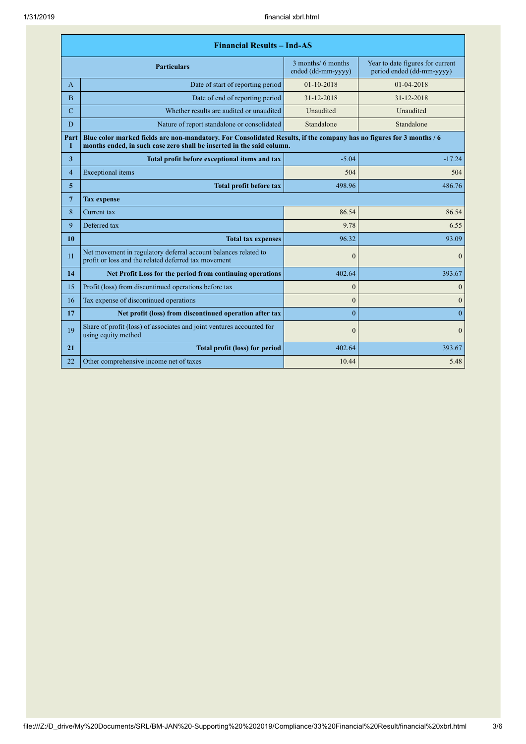| <b>Financial Results - Ind-AS</b> |                                                                                                                                                                                               |                                          |                                                               |
|-----------------------------------|-----------------------------------------------------------------------------------------------------------------------------------------------------------------------------------------------|------------------------------------------|---------------------------------------------------------------|
|                                   | <b>Particulars</b>                                                                                                                                                                            | 3 months/ 6 months<br>ended (dd-mm-yyyy) | Year to date figures for current<br>period ended (dd-mm-yyyy) |
| A                                 | Date of start of reporting period                                                                                                                                                             | $01 - 10 - 2018$                         | 01-04-2018                                                    |
| B                                 | Date of end of reporting period                                                                                                                                                               | 31-12-2018                               | 31-12-2018                                                    |
| $\mathbf C$                       | Whether results are audited or unaudited                                                                                                                                                      | Unaudited                                | Unaudited                                                     |
| D                                 | Nature of report standalone or consolidated                                                                                                                                                   | Standalone                               | Standalone                                                    |
| Part<br>Т                         | Blue color marked fields are non-mandatory. For Consolidated Results, if the company has no figures for 3 months / 6<br>months ended, in such case zero shall be inserted in the said column. |                                          |                                                               |
| $\overline{\mathbf{3}}$           | Total profit before exceptional items and tax                                                                                                                                                 | $-5.04$                                  | $-17.24$                                                      |
| $\overline{4}$                    | Exceptional items                                                                                                                                                                             | 504                                      | 504                                                           |
| $\overline{5}$                    | <b>Total profit before tax</b>                                                                                                                                                                | 498.96                                   | 486.76                                                        |
| $7\phantom{.0}$                   | <b>Tax expense</b>                                                                                                                                                                            |                                          |                                                               |
| 8                                 | Current tax                                                                                                                                                                                   | 86.54                                    | 86.54                                                         |
| 9                                 | Deferred tax                                                                                                                                                                                  | 9.78                                     | 6.55                                                          |
| 10                                | <b>Total tax expenses</b>                                                                                                                                                                     | 96.32                                    | 93.09                                                         |
| 11                                | Net movement in regulatory deferral account balances related to<br>profit or loss and the related deferred tax movement                                                                       | $\mathbf{0}$                             | $\mathbf{0}$                                                  |
| 14                                | Net Profit Loss for the period from continuing operations                                                                                                                                     | 402.64                                   | 393.67                                                        |
| 15                                | Profit (loss) from discontinued operations before tax                                                                                                                                         | $\mathbf{0}$                             | $\boldsymbol{0}$                                              |
| 16                                | Tax expense of discontinued operations                                                                                                                                                        | $\theta$                                 | $\mathbf{0}$                                                  |
| 17                                | Net profit (loss) from discontinued operation after tax                                                                                                                                       | $\theta$                                 | $\overline{0}$                                                |
| 19                                | Share of profit (loss) of associates and joint ventures accounted for<br>using equity method                                                                                                  | $\theta$                                 | $\theta$                                                      |
| 21                                | <b>Total profit (loss) for period</b>                                                                                                                                                         | 402.64                                   | 393.67                                                        |
| 22                                | Other comprehensive income net of taxes                                                                                                                                                       | 10.44                                    | 5.48                                                          |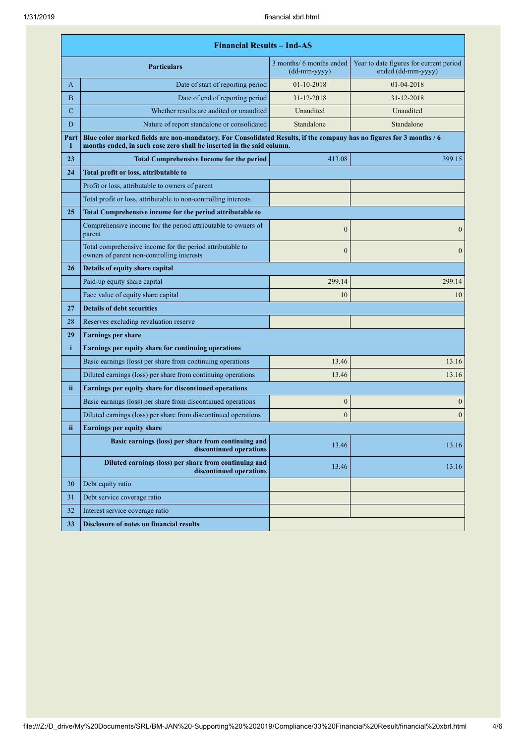| <b>Financial Results - Ind-AS</b> |                                                                                                                                                                                               |                                          |                                                               |
|-----------------------------------|-----------------------------------------------------------------------------------------------------------------------------------------------------------------------------------------------|------------------------------------------|---------------------------------------------------------------|
|                                   | <b>Particulars</b>                                                                                                                                                                            | 3 months/ 6 months ended<br>(dd-mm-yyyy) | Year to date figures for current period<br>ended (dd-mm-yyyy) |
| A                                 | Date of start of reporting period                                                                                                                                                             | 01-10-2018                               | 01-04-2018                                                    |
| B                                 | Date of end of reporting period                                                                                                                                                               | 31-12-2018                               | 31-12-2018                                                    |
| C                                 | Whether results are audited or unaudited                                                                                                                                                      | Unaudited                                | Unaudited                                                     |
| D                                 | Nature of report standalone or consolidated                                                                                                                                                   | Standalone                               | Standalone                                                    |
| Part<br>I                         | Blue color marked fields are non-mandatory. For Consolidated Results, if the company has no figures for 3 months / 6<br>months ended, in such case zero shall be inserted in the said column. |                                          |                                                               |
| 23                                | <b>Total Comprehensive Income for the period</b>                                                                                                                                              | 413.08                                   | 399.15                                                        |
| 24                                | Total profit or loss, attributable to                                                                                                                                                         |                                          |                                                               |
|                                   | Profit or loss, attributable to owners of parent                                                                                                                                              |                                          |                                                               |
|                                   | Total profit or loss, attributable to non-controlling interests                                                                                                                               |                                          |                                                               |
| 25                                | Total Comprehensive income for the period attributable to                                                                                                                                     |                                          |                                                               |
|                                   | Comprehensive income for the period attributable to owners of<br>parent                                                                                                                       | $\mathbf{0}$                             | $\mathbf{0}$                                                  |
|                                   | Total comprehensive income for the period attributable to<br>owners of parent non-controlling interests                                                                                       | $\mathbf{0}$                             | $\boldsymbol{0}$                                              |
| 26                                | Details of equity share capital                                                                                                                                                               |                                          |                                                               |
|                                   | Paid-up equity share capital                                                                                                                                                                  | 299.14                                   | 299.14                                                        |
|                                   | Face value of equity share capital                                                                                                                                                            | 10                                       | 10                                                            |
| 27                                | <b>Details of debt securities</b>                                                                                                                                                             |                                          |                                                               |
| 28                                | Reserves excluding revaluation reserve                                                                                                                                                        |                                          |                                                               |
| 29                                | <b>Earnings per share</b>                                                                                                                                                                     |                                          |                                                               |
| $\mathbf{i}$                      | Earnings per equity share for continuing operations                                                                                                                                           |                                          |                                                               |
|                                   | Basic earnings (loss) per share from continuing operations                                                                                                                                    | 13.46                                    | 13.16                                                         |
|                                   | Diluted earnings (loss) per share from continuing operations                                                                                                                                  | 13.46                                    | 13.16                                                         |
| ii.                               | Earnings per equity share for discontinued operations                                                                                                                                         |                                          |                                                               |
|                                   | Basic earnings (loss) per share from discontinued operations                                                                                                                                  | $\boldsymbol{0}$                         | $\boldsymbol{0}$                                              |
|                                   | Diluted earnings (loss) per share from discontinued operations                                                                                                                                | $\boldsymbol{0}$                         | $\boldsymbol{0}$                                              |
| ii                                | <b>Earnings per equity share</b>                                                                                                                                                              |                                          |                                                               |
|                                   | Basic earnings (loss) per share from continuing and<br>discontinued operations                                                                                                                | 13.46                                    | 13.16                                                         |
|                                   | Diluted earnings (loss) per share from continuing and<br>discontinued operations                                                                                                              | 13.46                                    | 13.16                                                         |
| 30                                | Debt equity ratio                                                                                                                                                                             |                                          |                                                               |
| 31                                | Debt service coverage ratio                                                                                                                                                                   |                                          |                                                               |
| 32                                | Interest service coverage ratio                                                                                                                                                               |                                          |                                                               |
| 33                                | <b>Disclosure of notes on financial results</b>                                                                                                                                               |                                          |                                                               |